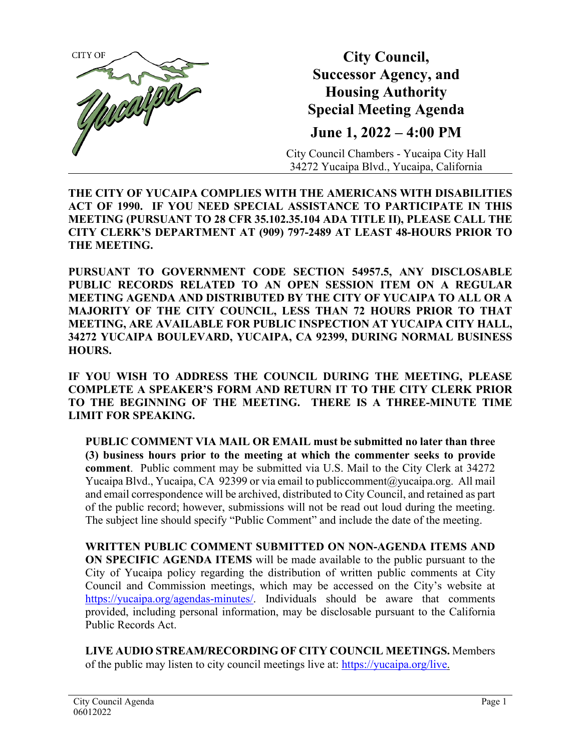

**City Council, Successor Agency, and Housing Authority Special Meeting Agenda June 1, 2022 – 4:00 PM**

City Council Chambers - Yucaipa City Hall 34272 Yucaipa Blvd., Yucaipa, California

**THE CITY OF YUCAIPA COMPLIES WITH THE AMERICANS WITH DISABILITIES ACT OF 1990. IF YOU NEED SPECIAL ASSISTANCE TO PARTICIPATE IN THIS MEETING (PURSUANT TO 28 CFR 35.102.35.104 ADA TITLE II), PLEASE CALL THE CITY CLERK'S DEPARTMENT AT (909) 797-2489 AT LEAST 48-HOURS PRIOR TO THE MEETING.**

**PURSUANT TO GOVERNMENT CODE SECTION 54957.5, ANY DISCLOSABLE PUBLIC RECORDS RELATED TO AN OPEN SESSION ITEM ON A REGULAR MEETING AGENDA AND DISTRIBUTED BY THE CITY OF YUCAIPA TO ALL OR A MAJORITY OF THE CITY COUNCIL, LESS THAN 72 HOURS PRIOR TO THAT MEETING, ARE AVAILABLE FOR PUBLIC INSPECTION AT YUCAIPA CITY HALL, 34272 YUCAIPA BOULEVARD, YUCAIPA, CA 92399, DURING NORMAL BUSINESS HOURS.**

**IF YOU WISH TO ADDRESS THE COUNCIL DURING THE MEETING, PLEASE COMPLETE A SPEAKER'S FORM AND RETURN IT TO THE CITY CLERK PRIOR TO THE BEGINNING OF THE MEETING. THERE IS A THREE-MINUTE TIME LIMIT FOR SPEAKING.**

**PUBLIC COMMENT VIA MAIL OR EMAIL must be submitted no later than three (3) business hours prior to the meeting at which the commenter seeks to provide comment**. Public comment may be submitted via U.S. Mail to the City Clerk at 34272 Yucaipa Blvd., Yucaipa, CA 92399 or via email t[o publiccomment@yucaipa.org.](mailto:publiccomment@yucaipa.org) All mail and email correspondence will be archived, distributed to City Council, and retained as part of the public record; however, submissions will not be read out loud during the meeting. The subject line should specify "Public Comment" and include the date of the meeting.

**WRITTEN PUBLIC COMMENT SUBMITTED ON NON-AGENDA ITEMS AND ON SPECIFIC AGENDA ITEMS** will be made available to the public pursuant to the City of Yucaipa policy regarding the distribution of written public comments at City Council and Commission meetings, which may be accessed on the City's website at [https://yucaipa.org/agendas-minutes/.](https://yucaipa.org/agendas-minutes/) Individuals should be aware that comments provided, including personal information, may be disclosable pursuant to the California Public Records Act.

**LIVE AUDIO STREAM/RECORDING OF CITY COUNCIL MEETINGS.** Members of the public may listen to city council meetings live at: [https://yucaipa.org/live.](https://yucaipa.org/live)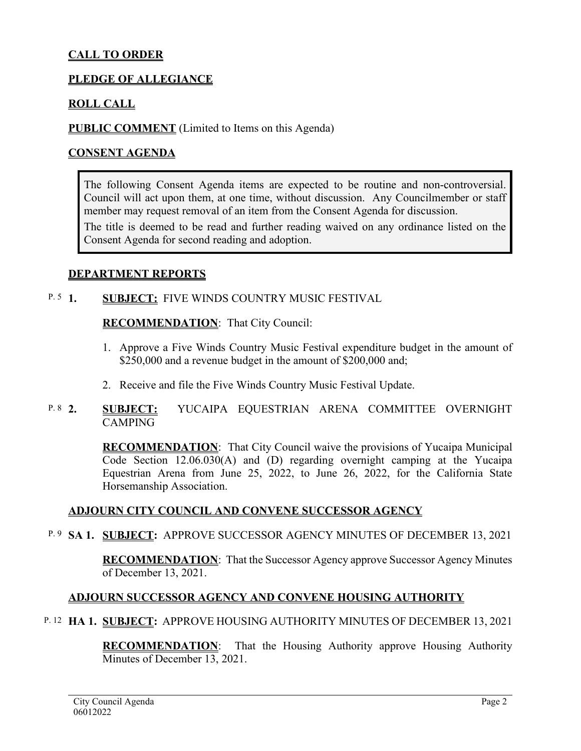# **CALL TO ORDER**

## **PLEDGE OF ALLEGIANCE**

## **ROLL CALL**

**PUBLIC COMMENT** (Limited to Items on this Agenda)

## **CONSENT AGENDA**

The following Consent Agenda items are expected to be routine and non-controversial. Council will act upon them, at one time, without discussion. Any Councilmember or staff member may request removal of an item from the Consent Agenda for discussion.

The title is deemed to be read and further reading waived on any ordinance listed on the Consent Agenda for second reading and adoption.

#### **DEPARTMENT REPORTS**

#### **SUBJECT: FIVE WINDS COUNTRY MUSIC FESTIVAL**  $P. 5 \quad 1.$

#### **RECOMMENDATION**:That City Council:

- 1. Approve a Five Winds Country Music Festival expenditure budget in the amount of \$250,000 and a revenue budget in the amount of \$200,000 and;
- 2. Receive and file the Five Winds Country Music Festival Update.

#### **2. SUBJECT:** YUCAIPA EQUESTRIAN ARENA COMMITTEE OVERNIGHT CAMPING P.  $8\quad2.$

**RECOMMENDATION**:That City Council waive the provisions of Yucaipa Municipal Code Section 12.06.030(A) and (D) regarding overnight camping at the Yucaipa Equestrian Arena from June 25, 2022, to June 26, 2022, for the California State Horsemanship Association.

### **ADJOURN CITY COUNCIL AND CONVENE SUCCESSOR AGENCY**

<sup>P.9</sup> SA 1. SUBJECT: APPROVE SUCCESSOR AGENCY MINUTES OF DECEMBER 13, 2021

**RECOMMENDATION**:That the Successor Agency approve Successor Agency Minutes of December 13, 2021.

## **ADJOURN SUCCESSOR AGENCY AND CONVENE HOUSING AUTHORITY**

**HA 1. SUBJECT:** APPROVE HOUSING AUTHORITY MINUTES OF DECEMBER 13, 2021 P. 12

**RECOMMENDATION**:That the Housing Authority approve Housing Authority Minutes of December 13, 2021.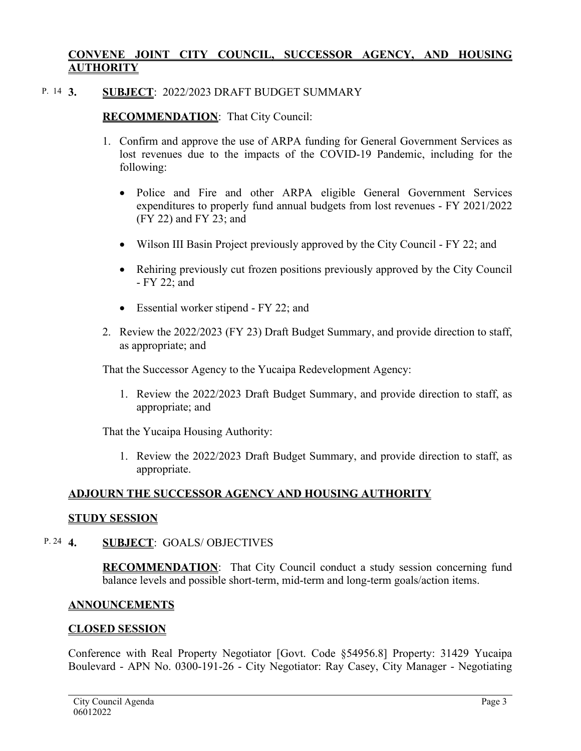## **CONVENE JOINT CITY COUNCIL, SUCCESSOR AGENCY, AND HOUSING AUTHORITY**

#### **3. SUBJECT**: 2022/2023 DRAFT BUDGET SUMMARY P. 14 3.

## **RECOMMENDATION**:That City Council:

- 1. Confirm and approve the use of ARPA funding for General Government Services as lost revenues due to the impacts of the COVID-19 Pandemic, including for the following:
	- Police and Fire and other ARPA eligible General Government Services expenditures to properly fund annual budgets from lost revenues - FY 2021/2022 (FY 22) and FY 23; and
	- Wilson III Basin Project previously approved by the City Council FY 22; and
	- Rehiring previously cut frozen positions previously approved by the City Council - FY 22; and
	- Essential worker stipend FY 22; and
- 2. Review the 2022/2023 (FY 23) Draft Budget Summary, and provide direction to staff, as appropriate; and

That the Successor Agency to the Yucaipa Redevelopment Agency:

1. Review the 2022/2023 Draft Budget Summary, and provide direction to staff, as appropriate; and

That the Yucaipa Housing Authority:

1. Review the 2022/2023 Draft Budget Summary, and provide direction to staff, as appropriate.

## **ADJOURN THE SUCCESSOR AGENCY AND HOUSING AUTHORITY**

### **STUDY SESSION**

#### **4. SUBJECT**: GOALS/ OBJECTIVES P. 24  $\bm{4}$ .

**RECOMMENDATION**:That City Council conduct a study session concerning fund balance levels and possible short-term, mid-term and long-term goals/action items.

### **ANNOUNCEMENTS**

### **CLOSED SESSION**

Conference with Real Property Negotiator [Govt. Code §54956.8] Property: 31429 Yucaipa Boulevard - APN No. 0300-191-26 - City Negotiator: Ray Casey, City Manager - Negotiating